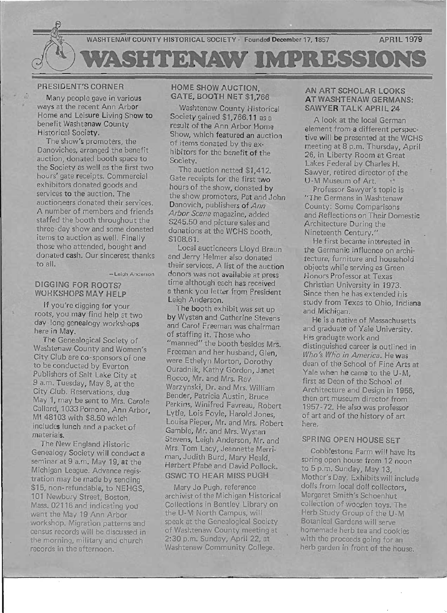

#### PRESIDENT'S CORNER

Many people gave in various ways at the recent Ann Arbor Home and Leisure Living Show to benefit Washtenaw County Historical Society.

The show's promoters, the Danoviches, arranged the benefit auction, donated booth space to the Society as well as the first two hours' gate receipts. Commercial exhibitors donated goods and services to the auction. The auctioneers donated their services. A number of members and friends staffed the booth throughout the three -day show and some donated items to auction as well. Finally those who attended, bought and donated cash. Our sincerest thanks to all.

- Leigh Anderson

#### DIGGING FOR ROOTS? WORKSHOPS MAY HELP

If you're digging for your roots, you may find help at two day-long genealogy workshops here in May.

The Genealogical Society of Washtenaw County and Women's City Club are Co-sponsors of one to be conducted by Everton Publishers of Salt Lake City at 9 a.m. Tuesday, May 8, at the City Club. Reservations, due May 1, may be sent to Mrs. Carole Callard, 1033 Pomona, Ann Arbor, MI 48103 with \$8.50 which includes lunch and a packet of materials.

The New England Historic Genealogy Society will conduct a seminar at 9 a.m. May 19, at the Michigan League. Advance registration may be made by sending \$15, non-refundable, to NEHGS, 101 Newbury Street, Boston, Mass. 02116 and indicating you want the May 19 Ann Arbor workshop. Migration patterns and census records will be discussed in the morning, military and church records in the afternoon.

### HOME SHOW AUCTION, GATE, BOOTH NET \$1,766

Washtenaw County Historical Society gained \$1,766.11 as a result of the Ann Arbor Home Show, which featured an auction of items donated by the exhibitors for the benefit of the Society.

The auction netted \$1,412. Gate receipts for the first two hours of the show, donated by the show promoters, Pat and John Danovich, publishers of Ann Arbor Scene magazine, added \$245.50 and picture sales and donations at the WCHS booth, \$108.61.

Local auctioneers Lloyd Braun and Jerry Helmer also donated their services. A list of the auction donors was not available at press time although each has received a thank you letter from President Leigh Anderson.

The booth exhibit was set up by Wystan and Catherine Stevens and Carol Freeman was chairman of staffing it. Those who "manned" the booth besides Mrs. Freeman and her husband, Glen, were Ethelyn Morton, Dorothy Ouradnik, Kathy Gordon, Janet Rocco, Mr. and Mrs. Ray Warzynski, Dr. and Mrs. William Bender, Patricia Austin, Bruce Perkins, Winifred Favreau, Robert Lytle, Lois Foyle, Harold Jones, Louisa Pieper, Mr. and Mrs. Robert Gamble, Mr. and Mrs. Wystan Stevens, Leigh Anderson, Mr. and Mrs. Tom Lacy, Jeannette Merriman, Judith Burd, Mary Heald, Herbert Pfabe and David Pollock. GSWC TO HEAR MISS PUGH

Mary Jo Pugh, reference archivist of the Michigan Historical Collections in Bentley Library on the U-M North Campus, will speak at the Genealogical Society of Washtenaw County meeting at 2:30 p.m. Sunday, April 22, at Washtenaw Community College.

#### AN ART SCHOLAR LOOKS AT WASHTENAW GERMANS: SAWYER TALK APRIL 24

A look at the local German element from-a different perspective will be presented at the WCHS meeting at 8 p.m. Thursday, April 26, in Liberty Room at Great Lakes Federal by Charles H. Sawyer, retired director of the U-M Museum of Art.

Professor Sawyer's topic is "The Germans in Washtenaw County: Some Comparisons and Reflections on Their Domestic Architecture During the Nineteenth Century."

He first became interested in the Germanic influence on architecture, furniture and household objects while serving as Green Honors Professor at Texas Christian University in 1973. Since then he has extended his study from Texas to Ohio, Indiana and Michigan.

He is a native of Massachusetts and graduate of Yale University. His graduate work and distinguished career is outlined in Who's Who in America. He was dean of the School of Fine Arts at Yale when he came to the U-M, first as Dean of the School of Architecture and Design in 1956, then art museum director from 1957 -72. He also was professor of art and of the history of art here.

# SPRING OPEN HOUSE SET

Cobblestone Farm will have its spring open house from 12 noon to 5 p.m. Sunday, May 13, Mother's Day. Exhibits will include dolls from local doll collectors, Margaret Smith's Schoenhut collection of wooden toys. The Herb Study Group of the U-M Botanical Gardens will serve homemade herb tea and cookies with the proceeds going for an herb garden in front of the house.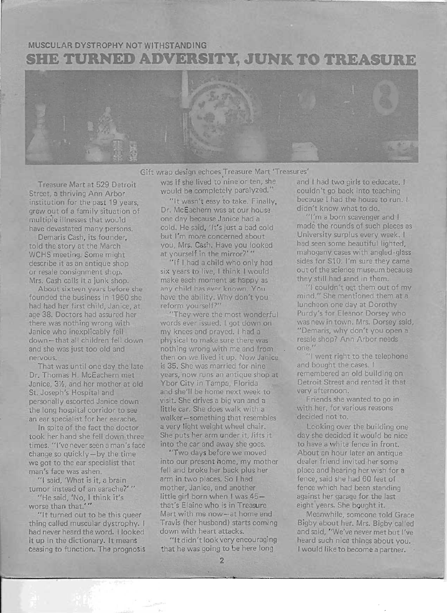# **MUSCULAR DYSTROPHY NOT WITHSTANDING SHE TURNED ADVERSITY, JUNK TO TREASURE**



Gift wrap design echoes Treasure Mart 'Treasures'

Treasure Mart at 529 Detroit Street, a thriving Ann Arbor institution for the past 19 years. grew out of a family situation of multiple illnesses that would have devastated many persons.

Demaris Cash, its founder, told the story at the March WCHS meeting. Some might describe it as an antique shop or resale consignment shop. Mrs. Cash calls it a junk shop.

About sixteen years before she founded the business in 1960 she had had her first child, Janice, at age 38. Doctors had assured her there was nothing wrong with Janice who inexplicably fell down-that all children fell down and she was just too old and nervous.

That was until one day the late Dr. Thomas H. McEachern met Janice, 3%, and her mother at old St. Joseph's Hospital and personally escorted Janice down the long hospital corridor to see an ear specialist for her earache.

In spite of the fact the doctor took her hand she fell down three times. "I've never seen a man's face  $change so quickly-by the time$ we got to the ear specialist that man's face was ashen.

"1 said, 'What is it, a brain tumor instead of an earache?'" "He said, 'No, I think it's

worse than that.'"

**[** 

"It turned out to be this queer thing called muscular dystrophy. I had never heard the word. I looked it up in the dictionary. It means ceasing to function. The prognosis was if she lived to nine or ten, she and I had two girls to educate. I would be completely paralyzed." couldn't go back into teaching

Dr. McEachern was at our house one day because Janice had a "I'm a born scavenger and I<br>cold. He said. 'It's just a bad cold made the rounds of such places as cold. He said, 'It's just a bad cold but I'm more concerned about University surplus every week. I you, Mrs. Cash. Have you looked had seen some beautiful lighted, at yourself in the mirror?'" mahogany cases with angled-glass

make each moment as happy as they still had sand in them. any child has ever known. You "I couldn't get them out of my<br>have the ability Why don't you mind." She mentioned them at a have the ability. Why don't you reform yourself?" luncheon one day at Dorothy

words ever issued. I got down on was new in town. Mrs. Dorsey said, my knees and prayed. I had a "Demaris, why don't you open a physical to make sure there was resale shop? Ann Arbor needs nothing wrong with me and from one."<br>
then on we lived it up. Now Janice "I went right to the telephone" then on we lived it up. Now Janice is 35. She was married for nine and bought the cases. I vears, now runs an antique shop at remembered an old building on years, now runs an antique shop at Ybor City in Tampa, Florida Detroit Street and rented it that and she'll be home next week to very afternoon. visit. She drives a big van and a Friends she wanted to go in little car. She does walk with a with her, for various reasons walker-something that resembles decided not to. a very light weight wheel chair. Leoking over the building one She puts her arm under it, lifts it day she decided it would be nice into the car and away she goes. to have a white fence in front.

"Two days before we moved About an hour later an antique into our present home, my mother dealer friend invited her some fell and broke her back plus her place and hearing her wish for a arm in two places. So I had fence, said she had 60 feet of mother, Janice, and another fence which had been standing little girl born when I was 45 - against her garage for the last that's Elaine who is in Treasure eight years. She bought it. Mart with me now-at home and Meanwhile, someone told Grace Travis (her husband) starts coming Bigby about her. Mrs. Bigby called down with heart attacks. and said, "We've never met but I've

that he was going to be here long I would like to become a partner.

"It wasn't easy to take. Finally, because I had the house to run. I,  $Mc$  Fachern was at our house didn't know what to do.

"If I had a child who only had sides for \$10: I'm sure they came six years to live, I think I would out of the science museum because

"They were the most wonderful Purdy's for Eleanor Dorsey who

"It didn't look very encouraging heard such nice things about you.

...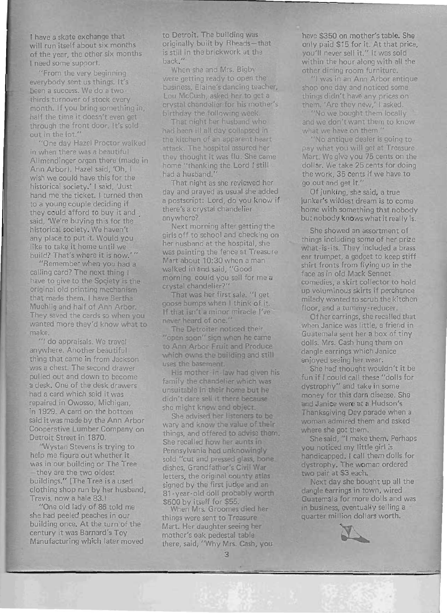I have a skate exchange that will run itself about six months of the year, the other six months I need some support.

"From the very beginning everybody sent us things. It's been a success. We do a twothirds turnover of stock every month. If you bring something in, half the time it doesn't even get through the front door. It's sold out in the lot."

"One day Hazel Proctor walked in when there was a beautiful Allmendinger organ there (made in Ann Arbor). Hazel said, 'Oh, I wish we could have this for the historical society.' I said, 'Just hand me the ticket. I turned then to a young couple deciding if they could afford to buy it and said, 'We're buying this for the historical society. We haven't any place to put it. Would you like to take it home until we build? That's where it is now.'"

"Remember when you had a calling card? The next thing I have to give to the Society is the original old printing mechanism that made them. I have Bertha Muehlig and half of Ann Arbor. They saved the cards so when you wanted more they'd know what to make.

"1 do appraisals. We travel anywhere. Another beautiful thing that came in from Jackson was a chest. The second drawer pulled out and down to become a desk. One of the desk drawers had a card which said it was repaired in Owosso, Michigan, in 1929. A card on the bottom said it was made by the Ann Arbor Cooperative Lumber Company on Detroit Street in 1870.

"Wystan Stevens is trying to help me figure out whether it was in our building or The Tree -they are the two oldest buildings." (The Tree is a used maniya. This hos is a assa  $T_{\rm min}$  and  $p_{\rm max}$  is now and  $T_{\rm max}$ "One old lady of 86 told me

she had peeled peaches in our building once. At the turn of the century it was Barnard's Toy Manufacturing which later moved

to Detroit. The building was originally built by Rheads-that is stili in the brickwork at the back."

When she and Mrs. Bigby were getting ready to open the business, Elaine's dancing teacher, Lou McCush, asked her to get a crystal chandelier for his mother's birthday the following week.

That night her husband who had been ill all day collapsed in the kitchen of an apparent heart attack. The hospital assured her they thought it was flu. She came home "thanking the Lord I still had a husband."

That night as she reviewed her day and prayed as usual she added ay and prayed as usual she added<br>postscript: Lord, do you know if a postscript: Lord, do you know if<br>there's a crystal chandelier anywhere?

. Next morning after getting the girls off to school and checking on her husband at the hospital, she was painting the fence at Treasure  $\frac{1}{10}$  mart about 10:20 when a man Mart about 10:30 when a man<br>walked in and said, "Good morning, could you sell for me a crystal chandel ier?"

That was her first sale. "1 get goose bumps when I think of it. If that isn't a minor miracle I've never heard of one."

The Detroiter noticed their "open soon" sign when he came to Ann Arbor Fruit and Produce which owns the building and still uses the basement.

His mother-in-law had given his family the chandelier which was unsuitable in their home but he didn't dare sell it there because she might know and object.

She advised her listeners to be and and know the value of their the and offered to advise them. things, and offered to advise them.<br>She recalled how her aunts in Pennsylvania had unknowingly sold "cut and pressed glass, bone. dishes, Grandfather's Civil War  $\frac{1}{2}$ letters, the original county atlas<br>signed by the first judge and an 81-year-old doll probably worth \$500 by itself for \$55.

When Mrs. Groomes died her things were sent to Treasure Mart. Her daughter seeing her Mart. Her daughter seeing her<br>mother's oak pedestal table other s bak pedestal table have \$350 on mother's table. She only paid \$15 for it. At that price, you /I never sell it." It was sold with the versel it. It was suid within the hour along with all the<br>other dining room furniture. r anning room rammare.

show and not and noticed someone shop one day and noticed some things didn't have any prices on them. 'Are they new,' I asked.<br>"No we bought them locally"

we bought we'll locally id we don't want them to what we have on them."<br>"No antique dealer is going to

wo antique uealer is going to What you will get at Treasure Mart. We give you 75 cents on the dollar. We take 25 cents for doing the work, 35 cents if we have to<br>go out and get it."

Of junking, she said a true junker's wildest dream' is to come home s whoest dream is to come but with something that nobody

She showed an assortment of She showed an assortment of ings including some of her prize hat is its. They included a brass ear trumpet, a gadget to keep stiff shirt fronts from flying up in the face as in old Mack Sennet. comedies, a skirt collector to hold up voluminous skirts if perchance milady wanted to scrub the kitchen. floor, and a tummy reducer.

Of her earrings, she recalled that when Janice was little, a friend in<br>Guatemala sent her a box of tiny datemala sent her a box or thry dangle early which Janice which Janice and the last control of the last control of the last control of the last control of the last control of the last control of the last control of the last control of the last control of dangle earrings which Janice<br>enjoyed seeing her wear.

She had thought wouldn't it be fun if I could call these "dolls for dystrophy" and take in some word and take in some oney for this darn disease. She and Janice were at a Hudson's<br>Thanksgiving Day parade when a an kay wing Day parade when a where she got them. B she got them.

one said, in little members you noticed my little girl is<br>handicapped. I call them dolls for dystrophy. The woman ordered two pair at \$3 each. pair at so each.

wext day she bought up an to dangle earrings in town, wired Guatemala for more dolls and was in business, eventually selling a<br>quarter million dollars worth.